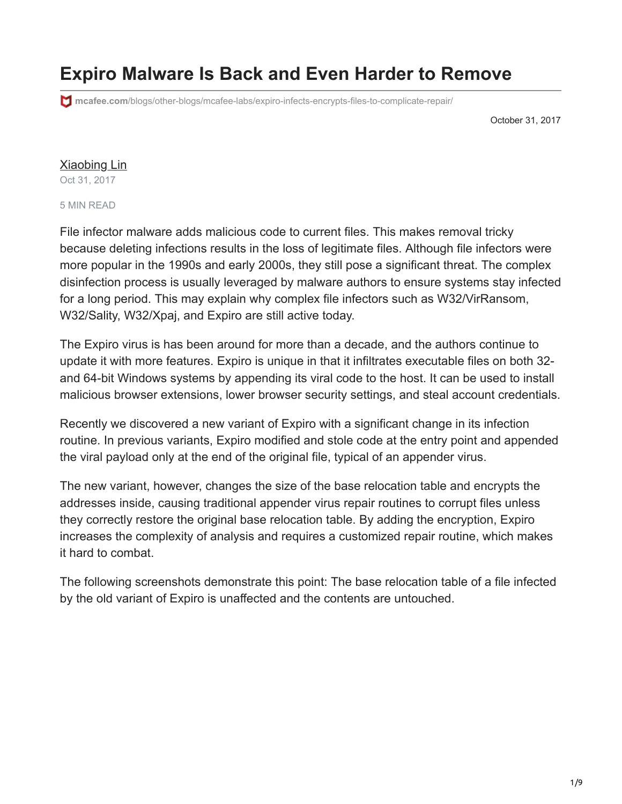# **Expiro Malware Is Back and Even Harder to Remove**

**mcafee.com**[/blogs/other-blogs/mcafee-labs/expiro-infects-encrypts-files-to-complicate-repair/](https://www.mcafee.com/blogs/other-blogs/mcafee-labs/expiro-infects-encrypts-files-to-complicate-repair/)

October 31, 2017

### [Xiaobing Lin](https://www.mcafee.com/blogs/author/xiaobing-lin/)

Oct 31, 2017

#### 5 MIN READ

File infector malware adds malicious code to current files. This makes removal tricky because deleting infections results in the loss of legitimate files. Although file infectors were more popular in the 1990s and early 2000s, they still pose a significant threat. The complex disinfection process is usually leveraged by malware authors to ensure systems stay infected for a long period. This may explain why complex file infectors such as W32/VirRansom, W32/Sality, W32/Xpaj, and Expiro are still active today.

The Expiro virus is has been around for more than a decade, and the authors continue to update it with more features. Expiro is unique in that it infiltrates executable files on both 32 and 64-bit Windows systems by appending its viral code to the host. It can be used to install malicious browser extensions, lower browser security settings, and steal account credentials.

Recently we discovered a new variant of Expiro with a significant change in its infection routine. In previous variants, Expiro modified and stole code at the entry point and appended the viral payload only at the end of the original file, typical of an appender virus.

The new variant, however, changes the size of the base relocation table and encrypts the addresses inside, causing traditional appender virus repair routines to corrupt files unless they correctly restore the original base relocation table. By adding the encryption, Expiro increases the complexity of analysis and requires a customized repair routine, which makes it hard to combat.

The following screenshots demonstrate this point: The base relocation table of a file infected by the old variant of Expiro is unaffected and the contents are untouched.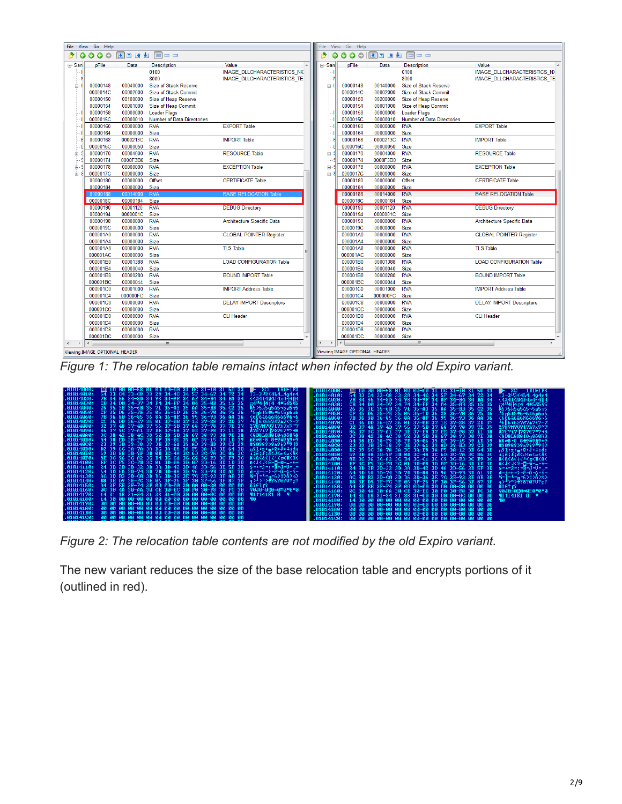| File View Go Help                                                                                                                                                  |                               |                      |                                   |                                                       |  | File View Go Help    |                               |                      |                              |                                    |
|--------------------------------------------------------------------------------------------------------------------------------------------------------------------|-------------------------------|----------------------|-----------------------------------|-------------------------------------------------------|--|----------------------|-------------------------------|----------------------|------------------------------|------------------------------------|
| $\begin{array}{c} \textbf{0} & \textbf{0} & \textbf{0} & \textbf{0} & \textbf{0} \\ \textbf{0} & \textbf{0} & \textbf{0} & \textbf{0} & \textbf{0} \\ \end{array}$ |                               |                      |                                   | <b>◎◎◎◎   因■■■■                            </b><br>э. |  |                      |                               |                      |                              |                                    |
| ⊟-San                                                                                                                                                              | pFile                         | Data                 | <b>Description</b>                | Value                                                 |  | ⊟-San                | pFile                         | Data                 | <b>Description</b>           | Value                              |
|                                                                                                                                                                    |                               |                      | 0100                              | <b>IMAGE DLLCHARACTERISTICS NX</b>                    |  |                      |                               |                      | 0100                         | <b>IMAGE DLLCHARACTERISTICS N)</b> |
|                                                                                                                                                                    |                               |                      | 8000                              | <b>IMAGE DLLCHARACTERISTICS TE</b>                    |  |                      |                               |                      | 8000                         | <b>IMAGE DLLCHARACTERISTICS TE</b> |
| ė                                                                                                                                                                  | 00000148                      | 00040000             | Size of Stack Reserve             |                                                       |  | ė-l                  | 00000148                      | 00140000             | <b>Size of Stack Reserve</b> |                                    |
|                                                                                                                                                                    | 0000014C                      | 00002000             | <b>Size of Stack Commit</b>       |                                                       |  |                      | 0000014C                      | 00002000             | <b>Size of Stack Commit</b>  |                                    |
|                                                                                                                                                                    | 00000150                      | 00100000             | Size of Heap Reserve              |                                                       |  |                      | 00000150                      | 00200000             | Size of Heap Reserve         |                                    |
|                                                                                                                                                                    | 00000154                      | 00001000             | Size of Heap Commit               |                                                       |  |                      | 00000154                      | 00001000             | Size of Heap Commit          |                                    |
|                                                                                                                                                                    | 00000158                      | 00000000             | <b>Loader Flags</b>               |                                                       |  |                      | 00000158                      | 00000000             | <b>Loader Flags</b>          |                                    |
|                                                                                                                                                                    | 0000015C                      | 00000010             | <b>Number of Data Directories</b> |                                                       |  |                      | 0000015C                      | 00000010             | Number of Data Directories   |                                    |
|                                                                                                                                                                    | 00000160                      | 00000000             | <b>RVA</b>                        | <b>EXPORT Table</b>                                   |  |                      | 00000160                      | 00000000             | <b>RVA</b>                   | <b>EXPORT Table</b>                |
|                                                                                                                                                                    | 00000164                      | 00000000             | Size                              |                                                       |  |                      | 00000164                      | 00000000             | Size                         |                                    |
|                                                                                                                                                                    | 00000168                      | 0000213C             | <b>RVA</b>                        | <b>IMPORT Table</b>                                   |  |                      | 00000168                      | 0000213C             | <b>RVA</b>                   | <b>IMPORT Table</b>                |
|                                                                                                                                                                    | 0000016C                      | 00000050             | Size                              |                                                       |  |                      | 0000016C                      | 00000050             | <b>Size</b>                  |                                    |
| 由                                                                                                                                                                  | 00000170                      | 00004000             | <b>RVA</b>                        | <b>RESOURCE Table</b>                                 |  |                      | 00000170                      | 00004000             | <b>RVA</b>                   | <b>RESOURCE Table</b>              |
|                                                                                                                                                                    | 00000174                      | 0000F3B0             | Size                              |                                                       |  |                      | 00000174                      | 0000F3B0             | <b>Size</b>                  |                                    |
| 由                                                                                                                                                                  | 00000178                      | 00000000             | <b>RVA</b>                        | <b>EXCEPTION Table</b>                                |  | 由                    | 00000178                      | 00000000             | <b>RVA</b>                   | <b>EXCEPTION Table</b>             |
| 由                                                                                                                                                                  | 0000017C                      | 00000000             | <b>Size</b>                       |                                                       |  | 由于                   | 0000017C                      | 00000000             | <b>Size</b>                  |                                    |
|                                                                                                                                                                    | 00000180                      | 00000000             | Offset                            | <b>CERTIFICATE Table</b>                              |  |                      | 00000180                      | 00000000             | Offset                       | <b>CERTIFICATE Table</b>           |
|                                                                                                                                                                    | 00000184                      | 00000000 Size        |                                   |                                                       |  |                      | 00000184                      | 00000000             | Size                         |                                    |
|                                                                                                                                                                    | 00000188                      | 00014000             | <b>RVA</b>                        | <b>BASE RELOCATION Table</b>                          |  |                      | 00000188                      | 00014000             | <b>RVA</b>                   | <b>BASE RELOCATION Table</b>       |
|                                                                                                                                                                    | 0000018C                      | 00000184             | <b>Size</b>                       |                                                       |  |                      | 0000018C                      | 00000184             | <b>Size</b>                  |                                    |
|                                                                                                                                                                    | 00000190                      | 00001120             | <b>RVA</b>                        | <b>DEBUG Directory</b>                                |  |                      | 00000190                      | 00001120             | <b>RVA</b>                   | <b>DEBUG Directory</b>             |
|                                                                                                                                                                    | 00000194                      | 0000001C             | Size                              |                                                       |  |                      | 00000194                      | 0000001C             | <b>Size</b>                  |                                    |
|                                                                                                                                                                    | 00000198                      | 00000000             | <b>RVA</b>                        | Architecture Specific Data                            |  |                      | 00000198                      | 00000000             | <b>RVA</b>                   | Architecture Specific Data         |
|                                                                                                                                                                    | 0000019C                      | 00000000             | Size                              |                                                       |  |                      | 0000019C                      | 00000000             | <b>Size</b>                  |                                    |
|                                                                                                                                                                    | 000001A0                      | 00000000             | <b>RVA</b>                        | <b>GLOBAL POINTER Register</b>                        |  |                      | 000001A0                      | 00000000             | <b>RVA</b>                   | <b>GLOBAL POINTER Register</b>     |
|                                                                                                                                                                    | 000001A4                      | 00000000             | Size                              |                                                       |  |                      | 000001A4                      | 00000000             | Size<br><b>RVA</b>           |                                    |
|                                                                                                                                                                    | 000001A8                      | 00000000             | <b>RVA</b>                        | <b>TLS Table</b>                                      |  |                      | 000001A8                      | 00000000             |                              | <b>TLS Table</b>                   |
|                                                                                                                                                                    | 000001AC<br>000001B0          | 00000000<br>00001388 | Size<br><b>RVA</b>                | <b>LOAD CONFIGURATION Table</b>                       |  |                      | 000001AC<br>000001B0          | 00000000<br>00001388 | <b>Size</b><br><b>RVA</b>    | <b>LOAD CONFIGURATION Table</b>    |
|                                                                                                                                                                    | 000001B4                      | 00000040             | <b>Size</b>                       |                                                       |  |                      | 000001B4                      | 00000040             | <b>Size</b>                  |                                    |
|                                                                                                                                                                    | 000001B8                      | 00000280             | <b>RVA</b>                        | <b>BOUND IMPORT Table</b>                             |  |                      | 000001B8                      | 00000280             | <b>RVA</b>                   | <b>BOUND IMPORT Table</b>          |
|                                                                                                                                                                    | 000001BC                      | 00000044             | <b>Size</b>                       |                                                       |  |                      | 000001BC                      | 00000044             | <b>Size</b>                  |                                    |
|                                                                                                                                                                    | 000001C0                      | 00001000             | <b>RVA</b>                        | <b>IMPORT Address Table</b>                           |  |                      | 000001C0                      | 00001000             | <b>RVA</b>                   | <b>IMPORT Address Table</b>        |
|                                                                                                                                                                    | 000001C4                      | 000000FC             | <b>Size</b>                       |                                                       |  |                      | 000001C4                      | 000000FC             | <b>Size</b>                  |                                    |
|                                                                                                                                                                    | 000001C8                      | 00000000             | <b>RVA</b>                        | <b>DELAY IMPORT Descriptors</b>                       |  |                      | 000001C8                      | 00000000             | <b>RVA</b>                   | <b>DELAY IMPORT Descriptors</b>    |
|                                                                                                                                                                    | 000001CC                      | 00000000             | Size                              |                                                       |  |                      | 000001CC                      | 00000000             | <b>Size</b>                  |                                    |
|                                                                                                                                                                    | 000001D0                      | 00000000             | <b>RVA</b>                        | <b>CLI Header</b>                                     |  |                      | 000001D0                      | 00000000             | <b>RVA</b>                   | <b>CLI Header</b>                  |
|                                                                                                                                                                    | 000001D4                      | 00000000             | <b>Size</b>                       |                                                       |  |                      | 000001D4                      | 00000000             | <b>Size</b>                  |                                    |
|                                                                                                                                                                    | 000001D8                      | 00000000             | <b>RVA</b>                        |                                                       |  |                      | 000001D8                      | 00000000             | <b>RVA</b>                   |                                    |
|                                                                                                                                                                    | 000001DC                      | 00000000             | <b>Size</b>                       |                                                       |  |                      | 000001DC                      | 00000000             | <b>Size</b>                  |                                    |
| $\leftarrow$<br>$\rightarrow$                                                                                                                                      | $\epsilon$                    |                      | $\mathbf{m}$                      |                                                       |  | $\ddot{\phantom{1}}$ |                               |                      | $\mathbf{m}$                 |                                    |
|                                                                                                                                                                    | Viewing IMAGE OPTIONAL HEADER |                      |                                   |                                                       |  |                      | Viewing IMAGE OPTIONAL HEADER |                      |                              |                                    |
|                                                                                                                                                                    |                               |                      |                                   |                                                       |  |                      |                               |                      |                              |                                    |

*Figure 1: The relocation table remains intact when infected by the old Expiro variant.*

|            | $2.01014000:$ 30 10 00 00-58 01 00 00-00 31 00 31-10 31 50 33 $\blacktriangleright$ $8\odot$ 191 $\square$ 1P3                                                                                                 | $\sqrt{0.014000}$ : 30 10 00 00-58 01 00 00-00 31 0C 31-10 31 50 33 $\blacktriangleright$ X© 191 $\blacktriangleright$ 173                                                                                                                                                            |
|------------|----------------------------------------------------------------------------------------------------------------------------------------------------------------------------------------------------------------|---------------------------------------------------------------------------------------------------------------------------------------------------------------------------------------------------------------------------------------------------------------------------------------|
|            |                                                                                                                                                                                                                | . 616146161: 54 33 04 33-68 33 28 34-96 34 35 40 35-88 35 02 35 46 35 469 464 466 55 56 36<br>101014020: 78 34 66 34-00 34 96 34-9F 34 6F 34-04 34 86 34 - 44 444 444 445 456 36<br>101014020: 78 34 66 34-00 34 96 34-9F 34 6F 34-0                                                  |
|            | ↓01014030: CB 34 D0 34-D7 34 F4 34-FF 34 04 35-0B 35 15 35 <del>π4<sup>11</sup>4  4 M</del> 4◆5お S5                                                                                                            |                                                                                                                                                                                                                                                                                       |
|            |                                                                                                                                                                                                                |                                                                                                                                                                                                                                                                                       |
|            |                                                                                                                                                                                                                | .01014050: CF 35 D6 35-FE 35 06 36-1D 36 28 36-70 36 75 36 当市15 15 96 96 (6 p6 u6                                                                                                                                                                                                     |
|            | .01014060: 7B 36 80 36-85 36 8A 36-8F 36 95 36-9D 36 AA 36 <6C6à6è686ò6¥6¬6                                                                                                                                    | %.01014060: 7B 36 80 36−85 36 8A 36−8F 36 95 36−9D 36 AA 36<br>-6C6à6è686ò6¥6¬6                                                                                                                                                                                                       |
|            | .01014070: C1 36 DD 36-E7 36 01 37-0B 37 1E 37-28 37 2D 37 -6 6076747(7-7                                                                                                                                      | Å.01014070:  C1 36 DD 36-E7 36 01 37-0B 37 1E 37-28 37 2D 37 -4∥6τ6©7δ7▲7<7-7                                                                                                                                                                                                         |
|            | .01014080: 32 37 48 37-4D 37 56 37-5B 37 68 37-78 37 7E 37 27H7M7U7I7h7x7~7                                                                                                                                    | %.01014080:   32  37  48  37–4D  37  56  37–5B  37  68  37–78  37  7E  37   27H7M7U7[7h7x7^7                                                                                                                                                                                          |
|            | .01014090:  86 37 9C 37-A1 37 DE 37-E8 37 EE 37-F8 37 11 38  &7£717 707E7°748                                                                                                                                  | %.01014090:  86 37 9C 37-A1 37 DE 37-E8 37 EE 37-F8 37 11 38  &7£717 707E70748                                                                                                                                                                                                        |
| .01014000: | 3C 38 42 38-4C 38 52 38-5B 38 67 38-93 38 9E 38 <8B8L8R818R9868R8                                                                                                                                              | Å.Ø10140A0: 3C 38 42 38−4C 38 52 38−5B 38 67 38−93 38 9E 38  <8B8L8R8I8g8ô8R8                                                                                                                                                                                                         |
|            | .010140B0: 04 38 ED 38-F9 38 FF 38-06 39 0F 39-15 39 1D 39 68#8 8 849 09 89 + 9                                                                                                                                | .010140B0: A4 38 ED 38-F9 38 FF 38-06 39 0F 39-15 39 1D 39 $\frac{1}{100}$ 38 $\frac{1}{100}$ $\frac{1}{100}$ $\frac{1}{100}$ $\frac{1}{100}$ $\frac{1}{100}$ $\frac{1}{100}$ $\frac{1}{100}$ $\frac{1}{100}$ $\frac{1}{100}$ $\frac{1}{100}$ $\frac{1}{100}$ $\frac{1}{100}$ $\frac$ |
|            | .010140C0:  23 39 30 39-38 39 3E 39-61 39 AD 39-BD 39 C3 39  #90989>9a9i949 H9                                                                                                                                 | €.010140C0: 23 39 30 39−38 39 3E 39−61 39 AD 39−BD 39 C3 39  #90989>9a9↓9 <sup>II</sup> 9 9                                                                                                                                                                                           |
|            | .010140D0: D2 39 6C 3A−7A 3A DC 3A−E8 3A F5 3A−12 3B 64 3B π9l:z:≡:ē:J:‡;ἀ;                                                                                                                                    | 0.010140D0: D2 39 6C 3A-7A 3A DC 3A-E8 3A F5 3A-12 3B 64 3B π9l:z:≡:δ:J:‡;ἀ;                                                                                                                                                                                                          |
|            | .010140E0:  69 3B 88 3B-9F 3B 0B 3C-4A 3C 6D 3C-7A 3C 86 3C  ï:ê:f:& <j<m<z<&<< td=""><td>.010140E0: 69 3B 88 3B-9F 3B 0B 3C-4A 3C 6D 3C-7A 3C 86 3C 1:0:3:3<x<a<< td=""></x<a<<></td></j<m<z<&<<>             | .010140E0: 69 3B 88 3B-9F 3B 0B 3C-4A 3C 6D 3C-7A 3C 86 3C 1:0:3:3 <x<a<< td=""></x<a<<>                                                                                                                                                                                              |
|            | 010140F0:   8E 3C 96 3C−A2 3C B4 3C−C1 3C C9 3C−E3 3C E9 3C  Ä<û<ó<∤<长┎<Π<θ<                                                                                                                                   | <b>.010140F0: 8E 3C 96 3C-A2 3C B4 3C-C1 3C C9 3C-E3 3C E9 3C &amp;{&amp;{&amp;{{\L^{\r\TK}}}</b><br><b>.01014100: EF 3C F5 3C-FB 3C 01 3D-08 3D 0F 3D-16 3D 1D 3D 0K/<j<@-c-&-_-+-< b=""></j<@-c-&-_-+-<></b>                                                                        |
|            | .01014100: EF 3C F5 3C-FB 3C 01 3D-08 3D 0F 3D-16 3D 1D 3D n <j<<<@=<mark>0=*===+=</j<<<@=<mark>                                                                                                               |                                                                                                                                                                                                                                                                                       |
|            | .01014110: 24  3D  2B  3D-32  3D  3A  3D-42  3D  4A  3D-56  3D  5F  3D   \$=+=2=:=B=J=U=_=                                                                                                                     | $.01014110$ : 24 3D 2B 3D-32 3D 3A 3D-42 3D 4A 3D-56 3D 5F 3D 5++2+:+B-J=U=_=                                                                                                                                                                                                         |
|            | $.01014120$ : 64 3D 66 3D-74 3D 7D 3D-88 3D 96 3D-9B 3D 61 3D $d=j=E-j$ - $\bar{e}=\bar{d}-\bar{c}=\bar{f}-\bar{c}$<br>.01014130: 6C 3D B3 3D-C0 3D D6 3D-36 3E 7C 3E-93 3E 6B 3E $K=\frac{1}{2}=-\frac{1}{2}$ | . 81814128:   64 3D 6A 3D-74 3D 7D 3D-88 3D 96 3D-9B 3D A1 3D   d-j-c->-2-cc-c−2-<br>.81814138:   aC 3D B3 3D-C8 3D D6 3D-36 3E 7C 3E-93 3E aB 3E   ‰−1-−π−6}1>826<br>.81814148:   B8 3E D9 3E-PC 3E 86 3F-26 3P 30 3P-56 3P 87 3P                                                    |
|            |                                                                                                                                                                                                                |                                                                                                                                                                                                                                                                                       |
|            |                                                                                                                                                                                                                |                                                                                                                                                                                                                                                                                       |
|            | .01014150: A4 3F EE 3F-F4 3F 00 00-00 20 00 00-20 00 00 00 ñ?E?f?                                                                                                                                              | %.01014150: A4 3F EE 3F−F4 3F 00 00−00 20 00 00−20 00 00 00  ñ?∈?r?                                                                                                                                                                                                                   |
|            | .01014160: 0C 30 4A 30-AA 30 CE 30-EC 30 F0 30-F8 30 FC 30 90J0-0¦0∾0≡0°0™0                                                                                                                                    | 1,01014160:  0C 30 4A 30-AA 30 CE 30-EC 30 F0 30-F8 30 FC 30  \$0J0-0¦0∞0≡0°0™0;                                                                                                                                                                                                      |
|            | .01014170: 14 31 18 31-34 31 38 31-00 30 00 00-0C 00 00 00 00 1114181 0 ♀                                                                                                                                      | .01014170: 14 31 18 31-34 31 38 31-00 30 00 00-00 00 00 00 01 114181 0 9                                                                                                                                                                                                              |
|            |                                                                                                                                                                                                                |                                                                                                                                                                                                                                                                                       |
|            |                                                                                                                                                                                                                |                                                                                                                                                                                                                                                                                       |
|            |                                                                                                                                                                                                                |                                                                                                                                                                                                                                                                                       |
| .01014100: |                                                                                                                                                                                                                |                                                                                                                                                                                                                                                                                       |
|            |                                                                                                                                                                                                                |                                                                                                                                                                                                                                                                                       |

*Figure 2: The relocation table contents are not modified by the old Expiro variant.*

The new variant reduces the size of the base relocation table and encrypts portions of it (outlined in red).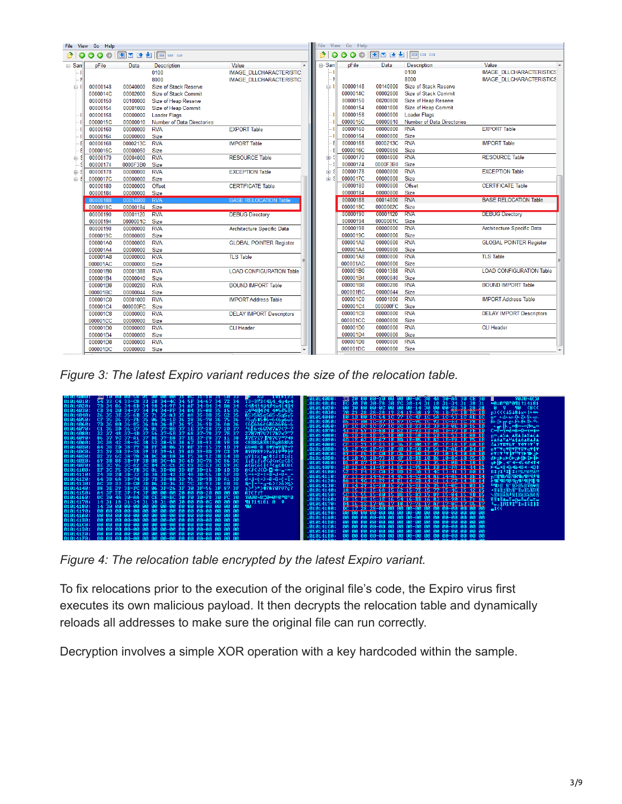|       | File View Go Help    |                      |                            |                                 |                          |                                 | File View Go Help    |                      |                             |                                 |  |
|-------|----------------------|----------------------|----------------------------|---------------------------------|--------------------------|---------------------------------|----------------------|----------------------|-----------------------------|---------------------------------|--|
| B.    |                      |                      |                            |                                 |                          | <b>◎◎◎◎   因■■■■ 回</b> □ □<br>P. |                      |                      |                             |                                 |  |
| ⊟-San | pFile                | Data                 | <b>Description</b>         | Value                           | $\overline{\phantom{a}}$ | ⊟-San                           | pFile                | Data                 | <b>Description</b>          | Value                           |  |
|       |                      |                      | 0100                       | <b>IMAGE DLLCHARACTERISTIC</b>  |                          |                                 |                      |                      | 0100                        | <b>IMAGE DLLCHARACTERISTICS</b> |  |
|       |                      |                      | 8000                       | <b>IMAGE DLLCHARACTERISTIC</b>  |                          | N                               |                      |                      | 8000                        | <b>IMAGE DLLCHARACTERISTICS</b> |  |
| ė-l   | 00000148             | 00040000             | Size of Stack Reserve      |                                 |                          | Ĥ∙I                             | 00000148             | 00140000             | Size of Stack Reserve       |                                 |  |
|       | 0000014C             | 00002000             | Size of Stack Commit       |                                 |                          |                                 | 0000014C             | 00002000             | <b>Size of Stack Commit</b> |                                 |  |
|       | 00000150             | 00100000             | Size of Heap Reserve       |                                 |                          |                                 | 00000150             | 00200000             | Size of Heap Reserve        |                                 |  |
|       | 00000154             | 00001000             | Size of Heap Commit        |                                 |                          |                                 | 00000154             | 00001000             | Size of Heap Commit         |                                 |  |
|       | 00000158             | 00000000             | <b>Loader Flags</b>        |                                 |                          |                                 | 00000158             | 00000000             | <b>Loader Flags</b>         |                                 |  |
|       | 0000015C             | 00000010             | Number of Data Directories |                                 |                          |                                 | 0000015C             | 00000010             | Number of Data Directories  |                                 |  |
|       | 00000160             | 00000000             | <b>RVA</b>                 | <b>EXPORT Table</b>             |                          |                                 | 00000160             | 00000000             | <b>RVA</b>                  | <b>EXPORT Table</b>             |  |
|       | 00000164             | 00000000             | Size                       |                                 |                          |                                 | 00000164             | 00000000             | Size                        |                                 |  |
|       | 00000168             | 0000213C             | <b>RVA</b>                 | <b>IMPORT Table</b>             |                          |                                 | 00000168             | 0000213C             | <b>RVA</b>                  | <b>IMPORT Table</b>             |  |
|       | 0000016C             | 00000050             | Size                       |                                 |                          |                                 | 0000016C             | 00000050             | Size                        |                                 |  |
| ni⊢\$ | 00000170             | 00004000             | <b>RVA</b>                 | <b>RESOURCE Table</b>           |                          | 由。                              | 00000170             | 00004000             | <b>RVA</b>                  | <b>RESOURCE Table</b>           |  |
|       | 00000174             | 0000F3B0             | Size                       |                                 |                          |                                 | 00000174             | 0000F3B0             | Size                        |                                 |  |
| 由-    | 00000178             | 00000000             | <b>RVA</b>                 | <b>EXCEPTION Table</b>          |                          | 画                               | 00000178             | 00000000             | <b>RVA</b>                  | <b>EXCEPTION Table</b>          |  |
| ÷ ∉   | 0000017C             | 00000000             | Size                       |                                 |                          | 面·SI                            | 0000017C             | 00000000             | <b>Size</b>                 |                                 |  |
|       | 00000180             | 00000000             | <b>Offset</b>              | <b>CERTIFICATE Table</b>        |                          |                                 | 00000180             | 00000000             | Offset                      | <b>CERTIFICATE Table</b>        |  |
|       | 00000184             | 00000000 Size        |                            |                                 |                          |                                 | 00000184             | 00000000 Size        |                             |                                 |  |
|       | 00000188             | 00014000 RVA         |                            | <b>BASE RELOCATION Table</b>    |                          |                                 | 00000188             | 00014000             | <b>RVA</b>                  | <b>BASE RELOCATION Table</b>    |  |
|       | 0000018C             | 00000184 Size        |                            |                                 |                          |                                 | 0000018C             | 0000002C             | Size                        |                                 |  |
|       | 00000190             | 00001120             | <b>RVA</b>                 | <b>DEBUG Directory</b>          |                          |                                 | 000000190            | 00001120             | <b>RVA</b>                  | <b>DEBUG Directory</b>          |  |
|       | 00000194             | 0000001C Size        |                            |                                 |                          |                                 | 00000194             | 0000001C<br>00000000 | Size<br><b>RVA</b>          |                                 |  |
|       | 00000198             | 00000000             | <b>RVA</b>                 | Architecture Specific Data      |                          |                                 | 00000198             |                      |                             | Architecture Specific Data      |  |
|       | 0000019C             | 00000000             | Size                       |                                 |                          |                                 | 0000019C             | 00000000<br>00000000 | Size<br><b>RVA</b>          |                                 |  |
|       | 000001A0             | 00000000             | <b>RVA</b>                 | <b>GLOBAL POINTER Register</b>  |                          |                                 | 000001A0             |                      | <b>Size</b>                 | <b>GLOBAL POINTER Register</b>  |  |
|       | 000001A4<br>000001A8 | 00000000             | Size<br><b>RVA</b>         | <b>TLS Table</b>                |                          |                                 | 000001A4<br>000001A8 | 00000000<br>00000000 | <b>RVA</b>                  | <b>TLS Table</b>                |  |
|       |                      | 00000000             | Size                       |                                 |                          |                                 | 000001AC             | 00000000             | <b>Size</b>                 |                                 |  |
|       | 000001AC<br>000001B0 | 00000000<br>00001388 | <b>RVA</b>                 | <b>LOAD CONFIGURATION Table</b> |                          |                                 | 000001B0             | 00001388             | <b>RVA</b>                  | <b>LOAD CONFIGURATION Table</b> |  |
|       | 000001B4             | 00000040             | <b>Size</b>                |                                 |                          |                                 | 000001B4             | 00000040             | <b>Size</b>                 |                                 |  |
|       | 000001B8             | 00000280             | <b>RVA</b>                 | <b>BOUND IMPORT Table</b>       |                          |                                 | 000001B8             | 00000280             | <b>RVA</b>                  | <b>BOUND IMPORT Table</b>       |  |
|       | 000001BC             | 00000044             | <b>Size</b>                |                                 |                          |                                 | 000001BC             | 00000044             | <b>Size</b>                 |                                 |  |
|       | 000001C0             | 00001000             | <b>RVA</b>                 | <b>IMPORT Address Table</b>     |                          |                                 | 000001C0             | 00001000             | <b>RVA</b>                  | <b>IMPORT Address Table</b>     |  |
|       | 000001C4             | 000000FC Size        |                            |                                 |                          |                                 | 000001C4             | 000000FC             | Size                        |                                 |  |
|       | 000001C8             | 00000000             | <b>RVA</b>                 | <b>DELAY IMPORT Descriptors</b> |                          |                                 | 000001C8             | 00000000             | <b>RVA</b>                  | <b>DELAY IMPORT Descriptors</b> |  |
|       | 000001CC             | 00000000             | Size                       |                                 |                          |                                 | 000001CC             | 00000000             | <b>Size</b>                 |                                 |  |
|       | 000001D0             | 00000000             | <b>RVA</b>                 | <b>CLI Header</b>               |                          |                                 | 000001D0             | 00000000             | <b>RVA</b>                  | <b>CLI Header</b>               |  |
|       | 000001D4             | 00000000             | Size                       |                                 |                          |                                 | 000001D4             | 00000000             | <b>Size</b>                 |                                 |  |
|       | 000001D8             | 00000000             | <b>RVA</b>                 |                                 |                          |                                 | 000001D8             | 00000000             | <b>RVA</b>                  |                                 |  |
|       | 000001DC             | 00000000             | <b>Size</b>                |                                 |                          |                                 | 000001DC             | 00000000             | <b>Size</b>                 |                                 |  |
|       |                      |                      |                            |                                 |                          |                                 |                      |                      |                             |                                 |  |

*Figure 3: The latest Expiro variant reduces the size of the relocation table.*



*Figure 4: The relocation table encrypted by the latest Expiro variant.*

To fix relocations prior to the execution of the original file's code, the Expiro virus first executes its own malicious payload. It then decrypts the relocation table and dynamically reloads all addresses to make sure the original file can run correctly.

Decryption involves a simple XOR operation with a key hardcoded within the sample.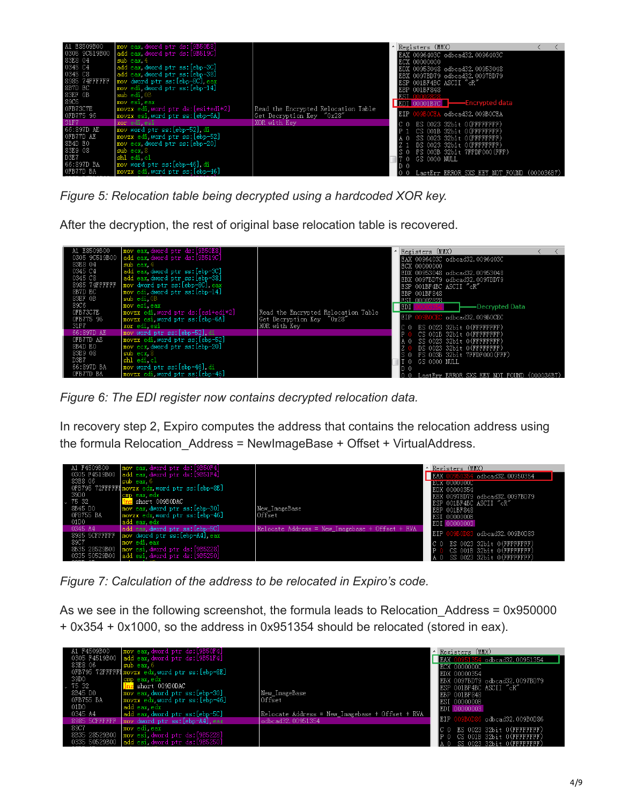

*Figure 5: Relocation table being decrypted using a hardcoded XOR key.*

After the decryption, the rest of original base relocation table is recovered.

| A1 E8509B00     | mov eax, dword ptr ds: [9B50E8]                   |                                     |     | Registers (MMX) |                         |                                                         |  |
|-----------------|---------------------------------------------------|-------------------------------------|-----|-----------------|-------------------------|---------------------------------------------------------|--|
| 0305 9C519B00   | add eax dword ptr ds:[9B519C]                     |                                     |     |                 |                         | EAX 0096403C odbcad32.0096403C                          |  |
| 83E8 04         | $sub$ eax, $4$                                    |                                     |     | ECX 00000000    |                         |                                                         |  |
| 0345 C4         | add eax, dword ptr ss: [ebp-3C]                   |                                     |     |                 |                         | EDX 00953048 odbcad32.00953048                          |  |
| 0345 C8         | add eax, dword ptr ss: [ebp-38]                   |                                     |     |                 |                         | EBX 0097BD79 odbcad32.0097BD79                          |  |
| 8985 74FFFFFF   | mov dword ptr ss: [ebp-8C] eax                    |                                     |     |                 | ESP 001BF4BC ASCII "cR" |                                                         |  |
| 8B7D EC         | mov edi.dword ptr ss:[ebp-14]                     |                                     |     | EBP 001BF848    |                         |                                                         |  |
| 83EF OB<br>89C6 | sub edi 0B                                        |                                     |     | EST 00002828    |                         |                                                         |  |
| OFB73C7E        | mov esi eax<br> movzx edi.word ptr ds:[esi+edi*2] | Read the Encrvpted Relocation Table | EDI |                 |                         | -Decrypted Data                                         |  |
| OFB775 96       | movzx esi, word ptr ss: [ebp-6A]                  | Get Decryption Kev "0x28"           | EIP |                 |                         | odbcad32.009B0CEC                                       |  |
| 31F7            | xor edi esi                                       | XOR with Kev                        |     |                 |                         |                                                         |  |
| 66:897D AE      | mov word ptr ss: [ebp-52] di                      |                                     |     |                 |                         | ES 0023 32bit 0(FFFFFFFFF)<br>CS 001B 32bit 0(FFFFFFFFF |  |
| OFB77D AE       | movzx edi, word ptr ss: [ebp-52]                  |                                     |     |                 |                         | SS 0023 32bit 0(FFFFFFFFF                               |  |
| 8B4D EO         | mov ecx.dword ptr ss: [ebp-20]                    |                                     |     |                 |                         | DS 0023 32bit 0(FFFFFFFFF)                              |  |
| 83E9 08         | sub ecx 8                                         |                                     |     |                 |                         | FS 003B 32bit 7FFDF000(FFF)                             |  |
| D3E7            | shl edi cl                                        |                                     |     |                 | GS 0000 NULL            |                                                         |  |
| 66:897D BA      | mov word ptr ss: [ebp-46].di                      |                                     |     |                 |                         |                                                         |  |
| OFB77D BA       | movzx edi, word ptr ss: [ebp-46]                  |                                     |     |                 | .astErr ERROR           |                                                         |  |

*Figure 6: The EDI register now contains decrypted relocation data.*

In recovery step 2, Expiro computes the address that contains the relocation address using the formula Relocation\_Address = NewImageBase + Offset + VirtualAddress.

| A1 F4509B00     | mov eax. dword ptr ds: [9B50F4]                    |                                                 | A Registers (MMX)                                        |
|-----------------|----------------------------------------------------|-------------------------------------------------|----------------------------------------------------------|
|                 | 0305 F4519B00 $ $ add eax dword ptr ds: $[9B51F4]$ |                                                 | EAX I<br>$1$ odbcad $32.00950354$                        |
| 83E8 06         | sub eax 6                                          |                                                 | <b>IECX 0000000C</b>                                     |
|                 | OFB795 72FFFFF1movzx edx word ptr ss: [ebp-8E]     |                                                 | EDX 00000354                                             |
| 39D0            | cmp eax edx                                        |                                                 | EBX 0097BD79 odbcad32.0097BD79                           |
| 75 32           | short 009B0DAC                                     |                                                 | ESP 001BF4BC ASCII "cR"                                  |
| 8B45 DO         | mov eax dword ptr ss: [ebp-30]                     | New ImageBase                                   | EBP 001BF848                                             |
| OFB755 BA       | movzx edx.word ptr ss:[ebp-46]                     | Offset                                          | ESI 0000000B                                             |
| 01D0<br>0345 A4 | add eax edx<br>add eax.dword ptr ss:[ebp-5C]       | Relocate Address = New Imagebase + Offset + RVA | EDI 00000003                                             |
|                 | 8985 5CFFFFFF   mov dword ptr ss: [ebp-A4], eax    |                                                 | <b>EIP</b><br>odbcad32.009B0D83                          |
| 89C7            | lmov edi eax                                       |                                                 |                                                          |
|                 | 8B35 28529B00   mov esi dword ptr ds:[9B5228]      |                                                 | ES 0023 32bit 0(FFFFFFFFF)<br>CS 001B 32bit 0(FFFFFFFFF) |
|                 | 0335 50529B00   add esi dword ptr ds: [9B5250]     |                                                 | SS 0023 32bit 0(FFFFFFFFF)                               |
|                 |                                                    |                                                 |                                                          |

*Figure 7: Calculation of the address to be relocated in Expiro's code.*

As we see in the following screenshot, the formula leads to Relocation Address = 0x950000 + 0x354 + 0x1000, so the address in 0x951354 should be relocated (stored in eax).

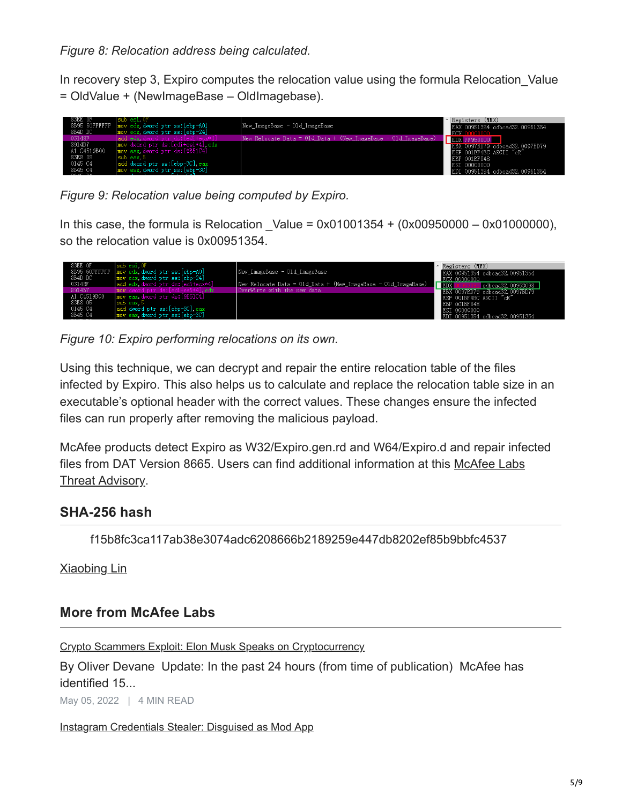*Figure 8: Relocation address being calculated.*

In recovery step 3, Expiro computes the relocation value using the formula Relocation\_Value = OldValue + (NewImageBase – OldImagebase).



*Figure 9: Relocation value being computed by Expiro.*

In this case, the formula is Relocation Value =  $0x01001354 + (0x00950000 - 0x01000000)$ , so the relocation value is 0x00951354.



*Figure 10: Expiro performing relocations on its own.*

Using this technique, we can decrypt and repair the entire relocation table of the files infected by Expiro. This also helps us to calculate and replace the relocation table size in an executable's optional header with the correct values. These changes ensure the infected files can run properly after removing the malicious payload.

McAfee products detect Expiro as W32/Expiro.gen.rd and W64/Expiro.d and repair infected [files from DAT Version 8665. Users can find additional information at this McAfee Labs](https://kb.mcafee.com/resources/sites/MCAFEE/content/live/PRODUCT_DOCUMENTATION/23000/PD23509/en_US/McAfee_Labs_Threat_Advisory_Expiro.pdf) Threat Advisory.

## **SHA-256 hash**

f15b8fc3ca117ab38e3074adc6208666b2189259e447db8202ef85b9bbfc4537

[Xiaobing Lin](https://www.mcafee.com/blogs/author/xiaobing-lin/)

## **More from McAfee Labs**

[Crypto Scammers Exploit: Elon Musk Speaks on Cryptocurrency](https://www.mcafee.com/blogs/other-blogs/mcafee-labs/crypto-scammers-exploit-talk-on-cryptocurrency/%20)

By Oliver Devane Update: In the past 24 hours (from time of publication) McAfee has identified 15...

May 05, 2022 | 4 MIN READ

[Instagram Credentials Stealer: Disguised as Mod App](https://www.mcafee.com/blogs/other-blogs/mcafee-labs/instagram-credentials-stealer-disguised-as-mod-app/%20)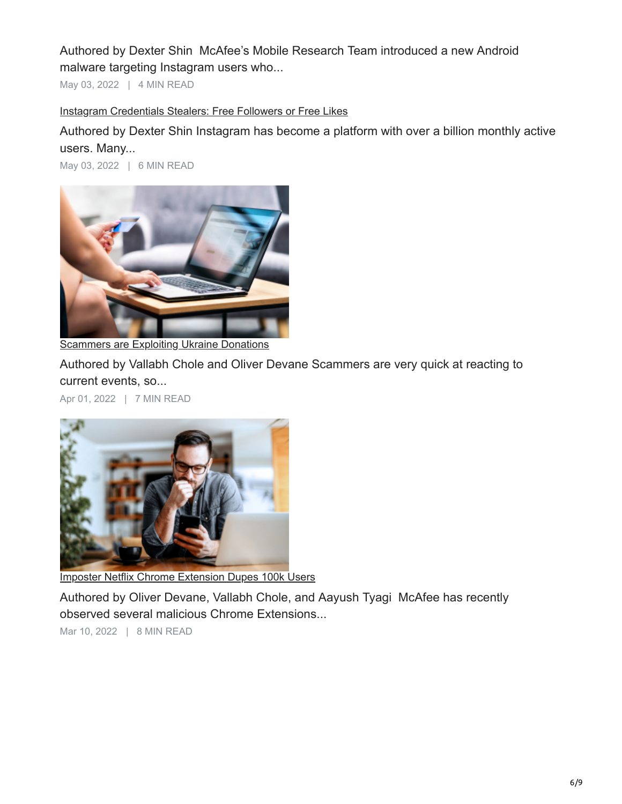Authored by Dexter Shin McAfee's Mobile Research Team introduced a new Android malware targeting Instagram users who...

May 03, 2022 | 4 MIN READ

### [Instagram Credentials Stealers: Free Followers or Free Likes](https://www.mcafee.com/blogs/other-blogs/mcafee-labs/instagram-credentials-stealers-free-followers-or-free-likes/%20)

Authored by Dexter Shin Instagram has become a platform with over a billion monthly active users. Many...

May 03, 2022 | 6 MIN READ



**[Scammers are Exploiting Ukraine Donations](https://www.mcafee.com/blogs/other-blogs/mcafee-labs/scammers-are-exploiting-ukraine-donations/%20)** 

Authored by Vallabh Chole and Oliver Devane Scammers are very quick at reacting to current events, so...

Apr 01, 2022 | 7 MIN READ



[Imposter Netflix Chrome Extension Dupes 100k Users](https://www.mcafee.com/blogs/other-blogs/mcafee-labs/imposter-netflix-chrome-extension-dupes-100k-users/%20)

Authored by Oliver Devane, Vallabh Chole, and Aayush Tyagi McAfee has recently observed several malicious Chrome Extensions...

Mar 10, 2022 | 8 MIN READ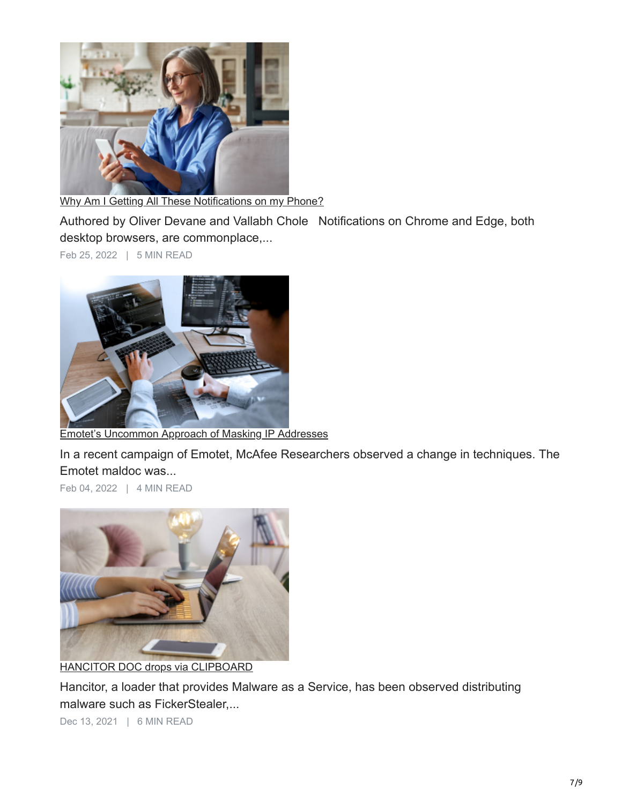

[Why Am I Getting All These Notifications on my Phone?](https://www.mcafee.com/blogs/other-blogs/mcafee-labs/why-am-i-getting-all-these-notifications-on-my-phone/%20)

Authored by Oliver Devane and Vallabh Chole Notifications on Chrome and Edge, both desktop browsers, are commonplace,...

Feb 25, 2022 | 5 MIN READ



[Emotet's Uncommon Approach of Masking IP Addresses](https://www.mcafee.com/blogs/other-blogs/mcafee-labs/emotets-uncommon-approach-of-masking-ip-addresses/%20)

In a recent campaign of Emotet, McAfee Researchers observed a change in techniques. The Emotet maldoc was...

Feb 04, 2022 | 4 MIN READ



[HANCITOR DOC drops via CLIPBOARD](https://www.mcafee.com/blogs/other-blogs/mcafee-labs/hancitor-doc-drops-via-clipboard/%20)

Hancitor, a loader that provides Malware as a Service, has been observed distributing malware such as FickerStealer,...

Dec 13, 2021 | 6 MIN READ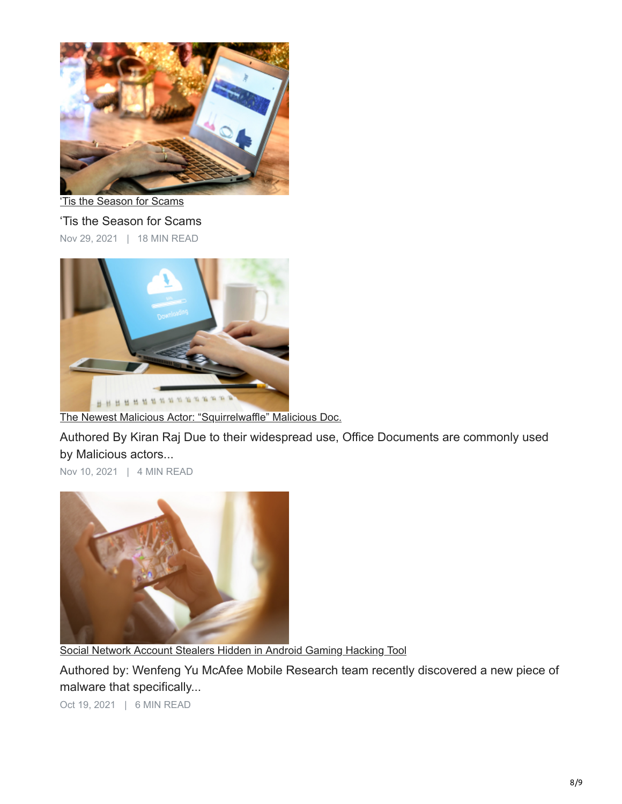

['Tis the Season for Scams](https://www.mcafee.com/blogs/other-blogs/mcafee-labs/tis-the-season-for-scams/%20)

'Tis the Season for Scams Nov 29, 2021 | 18 MIN READ



[The Newest Malicious Actor: "Squirrelwaffle" Malicious Doc.](https://www.mcafee.com/blogs/other-blogs/mcafee-labs/the-newest-malicious-actor-squirrelwaffle-malicious-doc/%20)

Authored By Kiran Raj Due to their widespread use, Office Documents are commonly used by Malicious actors...

Nov 10, 2021 | 4 MIN READ



[Social Network Account Stealers Hidden in Android Gaming Hacking Tool](https://www.mcafee.com/blogs/other-blogs/mcafee-labs/social-networks-account-stealer-hidden-in-android-gaming-hacking-tool/%20)

Authored by: Wenfeng Yu McAfee Mobile Research team recently discovered a new piece of malware that specifically...

Oct 19, 2021 | 6 MIN READ